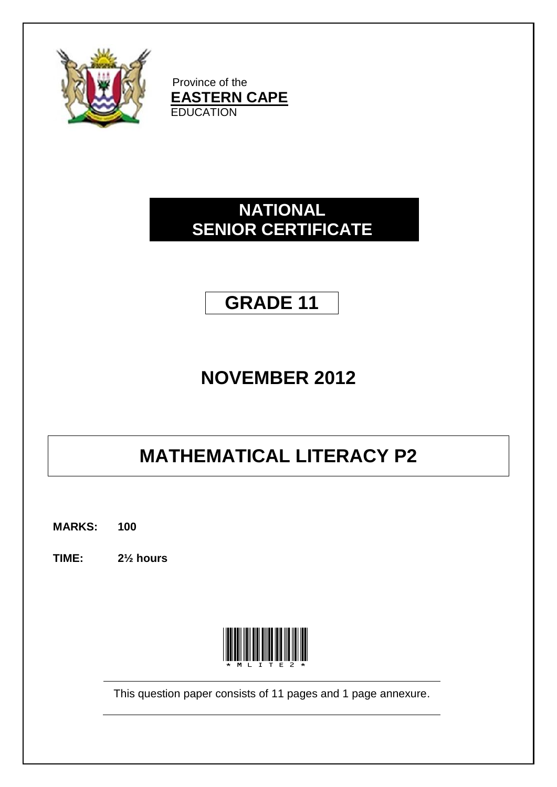

Province of the **EASTERN CAPE EDUCATION** 

## **NATIONAL SENIOR CERTIFICATE**

# **GRADE 11**

# **NOVEMBER 2012**

# **MATHEMATICAL LITERACY P2**

**MARKS: 100**

**TIME: 2½ hours**



This question paper consists of 11 pages and 1 page annexure.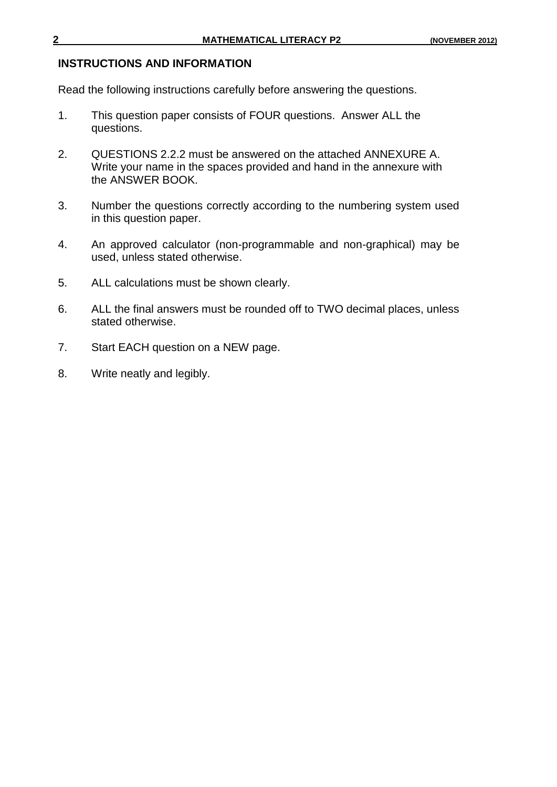#### **INSTRUCTIONS AND INFORMATION**

Read the following instructions carefully before answering the questions.

- 1. This question paper consists of FOUR questions. Answer ALL the questions.
- 2. QUESTIONS 2.2.2 must be answered on the attached ANNEXURE A. Write your name in the spaces provided and hand in the annexure with the ANSWER BOOK.
- 3. Number the questions correctly according to the numbering system used in this question paper.
- 4. An approved calculator (non-programmable and non-graphical) may be used, unless stated otherwise.
- 5. ALL calculations must be shown clearly.
- 6. ALL the final answers must be rounded off to TWO decimal places, unless stated otherwise.
- 7. Start EACH question on a NEW page.
- 8. Write neatly and legibly.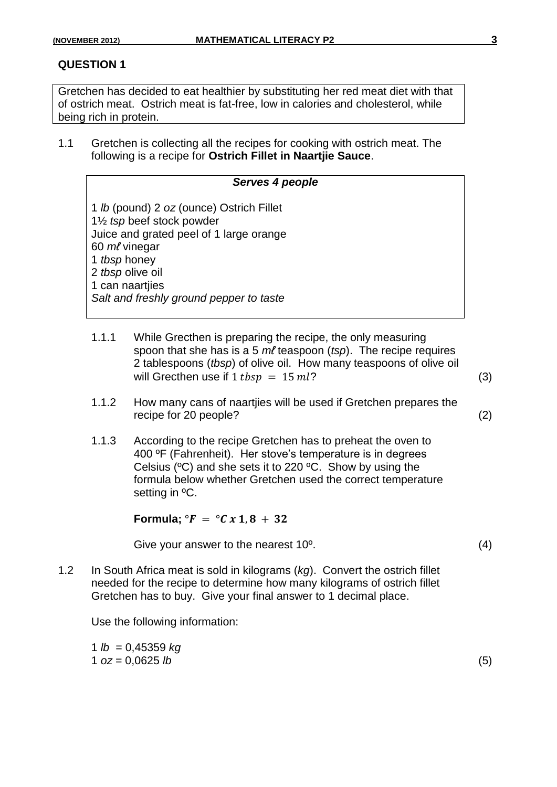Gretchen has decided to eat healthier by substituting her red meat diet with that of ostrich meat. Ostrich meat is fat-free, low in calories and cholesterol, while being rich in protein.

1.1 Gretchen is collecting all the recipes for cooking with ostrich meat. The following is a recipe for **Ostrich Fillet in Naartjie Sauce**.

## *Serves 4 people*

1 *lb* (pound) 2 *oz* (ounce) Ostrich Fillet 1½ *tsp* beef stock powder Juice and grated peel of 1 large orange 60 *mℓ* vinegar 1 *tbsp* honey 2 *tbsp* olive oil 1 can naartijes *Salt and freshly ground pepper to taste*

- 1.1.1 While Grecthen is preparing the recipe, the only measuring spoon that she has is a 5 *mℓ* teaspoon (*tsp*). The recipe requires 2 tablespoons (*tbsp*) of olive oil. How many teaspoons of olive oil will Grecthen use if  $1 tbsp = 15 ml?$  (3)
- 1.1.2 How many cans of naartjies will be used if Gretchen prepares the recipe for 20 people? (2)
- 1.1.3 According to the recipe Gretchen has to preheat the oven to 400 ºF (Fahrenheit). Her stove's temperature is in degrees Celsius (ºC) and she sets it to 220 ºC. Show by using the formula below whether Gretchen used the correct temperature setting in ºC.

**Formula;**  ${}^{\circ}F = {}^{\circ}C x 1, 8 + 32$ 

Give your answer to the nearest 10<sup>o</sup>. (4)

1.2 In South Africa meat is sold in kilograms (*kg*). Convert the ostrich fillet needed for the recipe to determine how many kilograms of ostrich fillet Gretchen has to buy. Give your final answer to 1 decimal place.

Use the following information:

1 *lb* = 0,45359 *kg*  $1 \text{ oz} = 0.0625 \text{ lb}$  (5)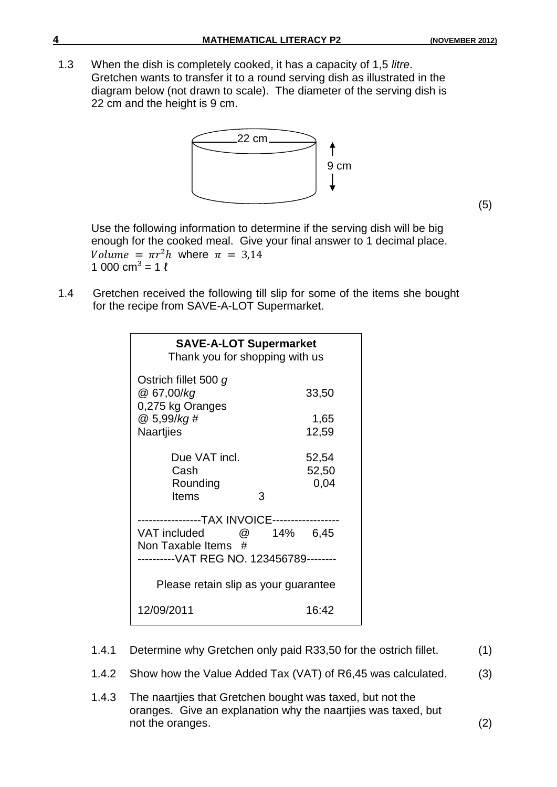(5)

1.3 When the dish is completely cooked, it has a capacity of 1,5 *litre*. Gretchen wants to transfer it to a round serving dish as illustrated in the diagram below (not drawn to scale). The diameter of the serving dish is 22 cm and the height is 9 cm.



Use the following information to determine if the serving dish will be big enough for the cooked meal. Give your final answer to 1 decimal place. Volume =  $\pi r^2 h$  where  $\pi = 3.14$ 1 000 cm<sup>3</sup> = 1  $\ell$ 

1.4 Gretchen received the following till slip for some of the items she bought for the recipe from SAVE-A-LOT Supermarket.

| <b>SAVE-A-LOT Supermarket</b><br>Thank you for shopping with us                                               |                             |
|---------------------------------------------------------------------------------------------------------------|-----------------------------|
| Ostrich fillet 500 g<br>@ 67,00/kg<br>0,275 kg Oranges                                                        | 33,50                       |
| @ 5,99/kg #<br>Naartjies                                                                                      | 1,65<br>12,59               |
| Due VAT incl.<br>Cash<br>Rounding<br>Items                                                                    | 52,54<br>52,50<br>0,04<br>3 |
| -------TAX INVOICE-----------<br>VAT included<br>Non Taxable Items #<br>--------VAT REG NO. 123456789-------- | <b>@</b> 14% 6,45           |
| Please retain slip as your guarantee                                                                          |                             |
| 12/09/2011                                                                                                    | 16:42                       |

- 1.4.1 Determine why Gretchen only paid R33,50 for the ostrich fillet. (1)
- 1.4.2 Show how the Value Added Tax (VAT) of R6,45 was calculated. (3)
- 1.4.3 The naartjies that Gretchen bought was taxed, but not the oranges. Give an explanation why the naartjies was taxed, but not the oranges. (2)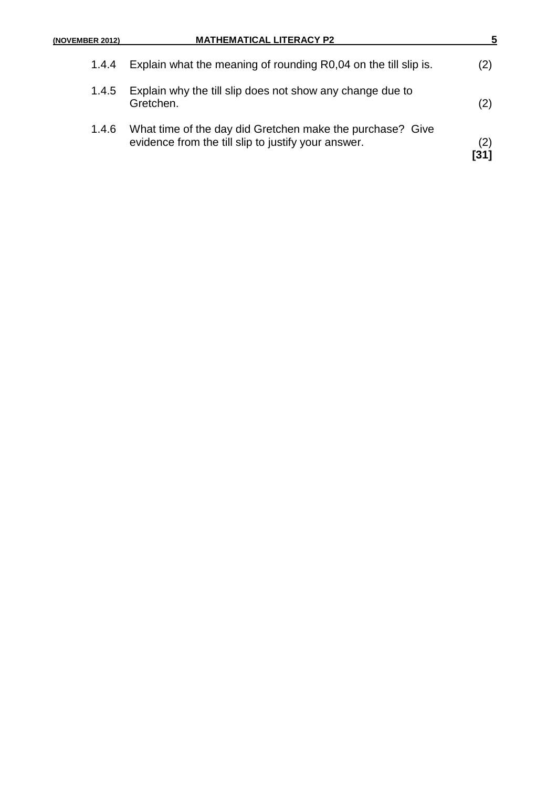| (NOVEMBER 2012) | <b>MATHEMATICAL LITERACY P2</b>                                                                                  |            |
|-----------------|------------------------------------------------------------------------------------------------------------------|------------|
| 1.4.4           | Explain what the meaning of rounding R0,04 on the till slip is.                                                  | (2)        |
| 1.4.5           | Explain why the till slip does not show any change due to<br>Gretchen.                                           | (2)        |
| 1.4.6           | What time of the day did Gretchen make the purchase? Give<br>evidence from the till slip to justify your answer. | (2)<br>[31 |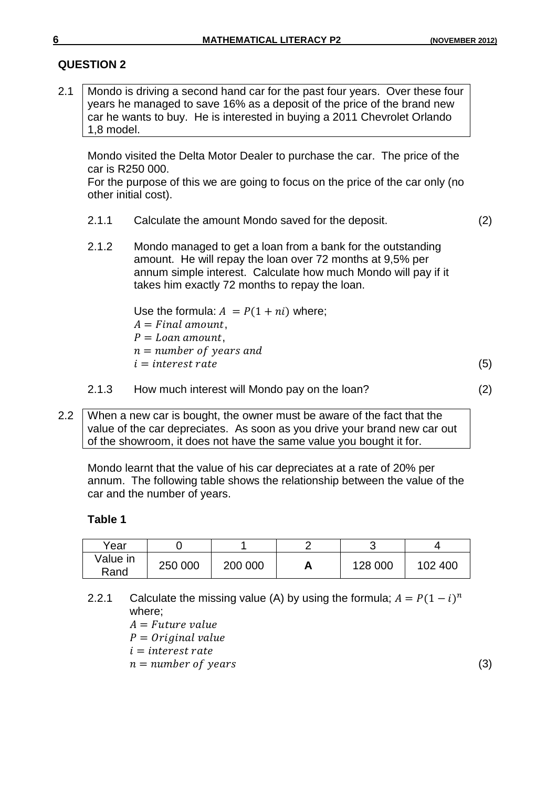2.1 Mondo is driving a second hand car for the past four years. Over these four years he managed to save 16% as a deposit of the price of the brand new car he wants to buy. He is interested in buying a 2011 Chevrolet Orlando 1,8 model.

Mondo visited the Delta Motor Dealer to purchase the car. The price of the car is R250 000.

For the purpose of this we are going to focus on the price of the car only (no other initial cost).

- 2.1.1 Calculate the amount Mondo saved for the deposit. (2)
- 2.1.2 Mondo managed to get a loan from a bank for the outstanding amount. He will repay the loan over 72 months at 9,5% per annum simple interest. Calculate how much Mondo will pay if it takes him exactly 72 months to repay the loan.

Use the formula:  $A = P(1 + ni)$  where;  $A = Final$  amount,  $P =$ Loan amount,  $n = number of years and$  $i = interest rate$  (5)

2.1.3 How much interest will Mondo pay on the loan? (2)

2.2 When a new car is bought, the owner must be aware of the fact that the value of the car depreciates. As soon as you drive your brand new car out of the showroom, it does not have the same value you bought it for.

Mondo learnt that the value of his car depreciates at a rate of 20% per annum. The following table shows the relationship between the value of the car and the number of years.

#### **Table 1**

| Year             |         |         | ັ       |         |
|------------------|---------|---------|---------|---------|
| Value in<br>Rand | 250 000 | 200 000 | 128 000 | 102 400 |

2.2.1 Calculate the missing value (A) by using the formula;  $A = P(1 - i)^n$ where;

 $A = Future value$ 

 $P = Original value$ 

 $i = interest rate$ 

 $n = number of years$  (3)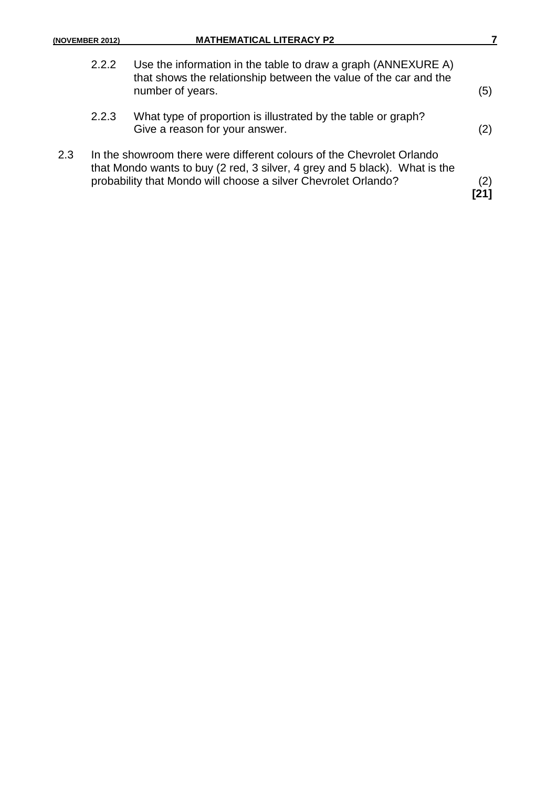| (NOVEMBER 2012) |  |  |  |
|-----------------|--|--|--|
|-----------------|--|--|--|

|     | 2.2.2 | Use the information in the table to draw a graph (ANNEXURE A)<br>that shows the relationship between the value of the car and the<br>number of years.                                                                 | (5) |
|-----|-------|-----------------------------------------------------------------------------------------------------------------------------------------------------------------------------------------------------------------------|-----|
|     | 2.2.3 | What type of proportion is illustrated by the table or graph?<br>Give a reason for your answer.                                                                                                                       | (2) |
| 2.3 |       | In the showroom there were different colours of the Chevrolet Orlando<br>that Mondo wants to buy (2 red, 3 silver, 4 grey and 5 black). What is the<br>probability that Mondo will choose a silver Chevrolet Orlando? | (2) |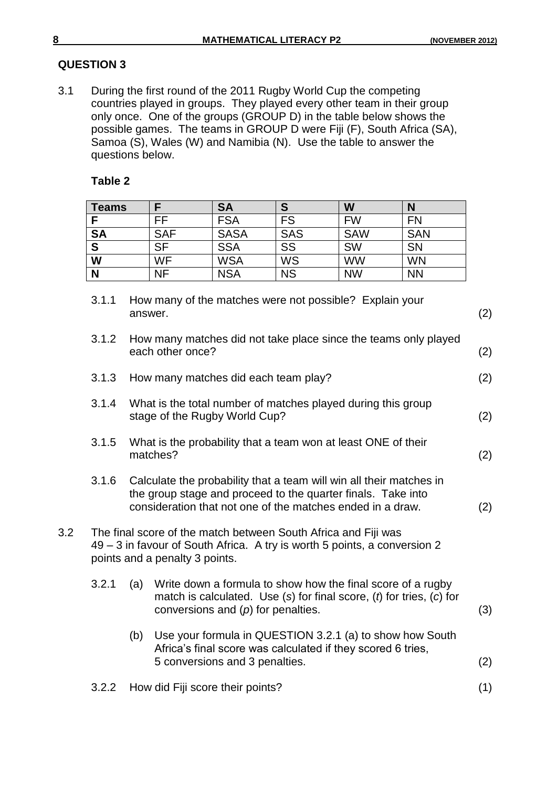3.1 During the first round of the 2011 Rugby World Cup the competing countries played in groups. They played every other team in their group only once. One of the groups (GROUP D) in the table below shows the possible games. The teams in GROUP D were Fiji (F), South Africa (SA), Samoa (S), Wales (W) and Namibia (N). Use the table to answer the questions below.

## **Table 2**

| <b>Teams</b> |            | <b>SA</b>   | S          | W          | N          |
|--------------|------------|-------------|------------|------------|------------|
|              | FF         | <b>FSA</b>  | <b>FS</b>  | <b>FW</b>  | <b>FN</b>  |
| <b>SA</b>    | <b>SAF</b> | <b>SASA</b> | <b>SAS</b> | <b>SAW</b> | <b>SAN</b> |
| $\mathbf{s}$ | <b>SF</b>  | <b>SSA</b>  | SS         | <b>SW</b>  | <b>SN</b>  |
| W            | WF         | <b>WSA</b>  | WS         | <b>WW</b>  | <b>WN</b>  |
| N            | ΝF         | <b>NSA</b>  | <b>NS</b>  | <b>NW</b>  | <b>NN</b>  |

|     | 3.1.1 |     | How many of the matches were not possible? Explain your<br>answer.                                                                                                                                | (2) |
|-----|-------|-----|---------------------------------------------------------------------------------------------------------------------------------------------------------------------------------------------------|-----|
|     | 3.1.2 |     | How many matches did not take place since the teams only played<br>each other once?                                                                                                               | (2) |
|     | 3.1.3 |     | How many matches did each team play?                                                                                                                                                              | (2) |
|     | 3.1.4 |     | What is the total number of matches played during this group<br>stage of the Rugby World Cup?                                                                                                     | (2) |
|     | 3.1.5 |     | What is the probability that a team won at least ONE of their<br>matches?                                                                                                                         | (2) |
|     | 3.1.6 |     | Calculate the probability that a team will win all their matches in<br>the group stage and proceed to the quarter finals. Take into<br>consideration that not one of the matches ended in a draw. | (2) |
| 3.2 |       |     | The final score of the match between South Africa and Fiji was<br>49 – 3 in favour of South Africa. A try is worth 5 points, a conversion 2<br>points and a penalty 3 points.                     |     |
|     | 3.2.1 | (a) | Write down a formula to show how the final score of a rugby<br>match is calculated. Use $(s)$ for final score, $(t)$ for tries, $(c)$ for<br>conversions and $(p)$ for penalties.                 | (3) |
|     |       | (b) | Use your formula in QUESTION 3.2.1 (a) to show how South<br>Africa's final score was calculated if they scored 6 tries,<br>5 conversions and 3 penalties.                                         | (2) |
|     | 3.2.2 |     | How did Fiji score their points?                                                                                                                                                                  | (1) |
|     |       |     |                                                                                                                                                                                                   |     |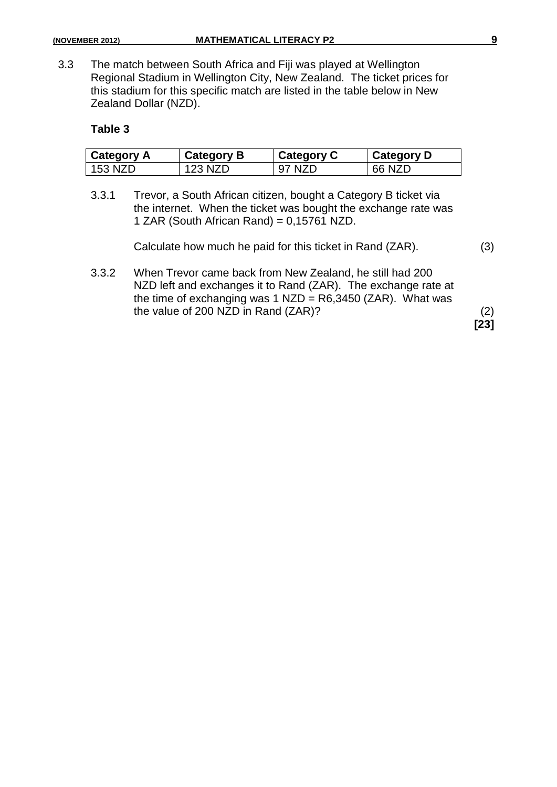3.3 The match between South Africa and Fiji was played at Wellington Regional Stadium in Wellington City, New Zealand. The ticket prices for this stadium for this specific match are listed in the table below in New Zealand Dollar (NZD).

#### **Table 3**

| <b>Category A</b> | <b>Category B</b> | <b>Category C</b> | <b>Category D</b> |
|-------------------|-------------------|-------------------|-------------------|
| 153 NZD           | 123 NZD           | 'NZL.<br>97       | $66$ N/L          |

3.3.1 Trevor, a South African citizen, bought a Category B ticket via the internet. When the ticket was bought the exchange rate was 1 ZAR (South African Rand) = 0,15761 NZD.

| Calculate how much he paid for this ticket in Rand (ZAR). | (3) |
|-----------------------------------------------------------|-----|
|-----------------------------------------------------------|-----|

3.3.2 When Trevor came back from New Zealand, he still had 200 NZD left and exchanges it to Rand (ZAR). The exchange rate at the time of exchanging was 1 NZD =  $R6,3450$  (ZAR). What was the value of 200 NZD in Rand (ZAR)? (2)

**[23]**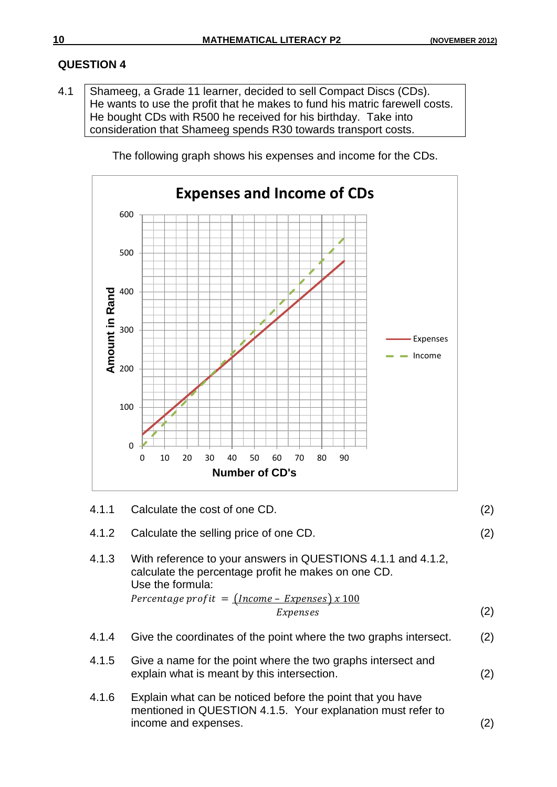4.1 | Shameeg, a Grade 11 learner, decided to sell Compact Discs (CDs). He wants to use the profit that he makes to fund his matric farewell costs. He bought CDs with R500 he received for his birthday. Take into consideration that Shameeg spends R30 towards transport costs.

The following graph shows his expenses and income for the CDs.



- 4.1.4 Give the coordinates of the point where the two graphs intersect. (2)
- 4.1.5 Give a name for the point where the two graphs intersect and explain what is meant by this intersection. (2)
- 4.1.6 Explain what can be noticed before the point that you have mentioned in QUESTION 4.1.5. Your explanation must refer to income and expenses. (2)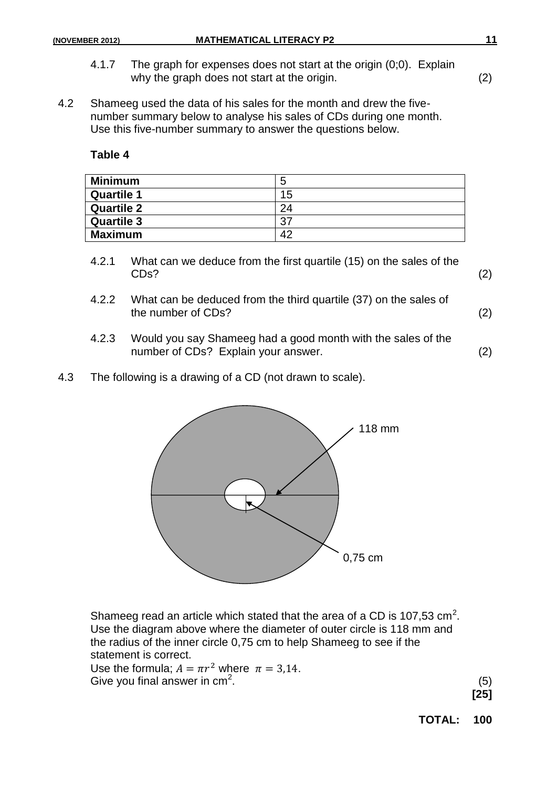- 4.1.7 The graph for expenses does not start at the origin (0;0). Explain why the graph does not start at the origin. (2)
- 4.2 Shameeg used the data of his sales for the month and drew the fivenumber summary below to analyse his sales of CDs during one month. Use this five-number summary to answer the questions below.

**Table 4**

| <b>Minimum</b>    | 5  |
|-------------------|----|
| <b>Quartile 1</b> | 15 |
| <b>Quartile 2</b> | 24 |
| <b>Quartile 3</b> | 37 |
| <b>Maximum</b>    | 42 |

- 4.2.1 What can we deduce from the first quartile (15) on the sales of the  $CDS?$  (2)
- 4.2.2 What can be deduced from the third quartile (37) on the sales of the number of CDs? (2)
- 4.2.3 Would you say Shameeg had a good month with the sales of the number of CDs? Explain your answer. (2)
- 4.3 The following is a drawing of a CD (not drawn to scale).



Shameeg read an article which stated that the area of a CD is 107,53  $\text{cm}^2$ . Use the diagram above where the diameter of outer circle is 118 mm and the radius of the inner circle 0,75 cm to help Shameeg to see if the statement is correct. Use the formula;  $A = \pi r^2$  where  $\pi = 3.14$ . Give you final answer in  $cm<sup>2</sup>$ . .  $(5)$ 

**[25]**

**TOTAL: 100**